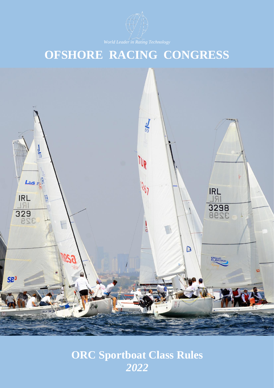

# **OFSHORE RACING CONGRESS**



# **ORC Sportboat Class Rules** *2022*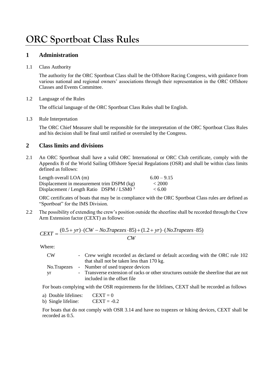# **ORC Sportboat Class Rules**

### **1 Administration**

#### 1.1 Class Authority

The authority for the ORC Sportboat Class shall be the Offshore Racing Congress, with guidance from various national and regional owners' associations through their representation in the ORC Offshore Classes and Events Committee.

#### 1.2 Language of the Rules

The official language of the ORC Sportboat Class Rules shall be English.

#### 1.3 Rule Interpretation

The ORC Chief Measurer shall be responsible for the interpretation of the ORC Sportboat Class Rules and his decision shall be final until ratified or overruled by the Congress.

### **2 Class limits and divisions**

2.1 An ORC Sportboat shall have a valid ORC International or ORC Club certificate, comply with the Appendix B of the World Sailing Offshore Special Regulations (OSR) and shall be within class limits defined as follows:

| Length overall $LOA$ (m)                             | $6.00 - 9.15$ |
|------------------------------------------------------|---------------|
| Displacement in measurement trim DSPM (kg)           | < 2000        |
| Displacement / Length Ratio DSPM / LSM0 <sup>3</sup> | < 6.00        |

ORC certificates of boats that may be in compliance with the ORC Sportboat Class rules are defined as "Sportboat" for the IMS Division.

2.2 The possibility of extending the crew's position outside the sheerline shall be recorded through the Crew Arm Extension factor (CEXT) as follows:

$$
CEXT = \frac{(0.5 + yr) \cdot (CW - No.Trapezes \cdot 85) + (1.2 + yr) \cdot (No.Trapezes \cdot 85)}{CW}
$$

Where:

| CW <sub></sub> | - Crew weight recorded as declared or default according with the ORC rule 102          |
|----------------|----------------------------------------------------------------------------------------|
|                | that shall not be taken less than 170 kg.                                              |
|                | No. Trapezes - Number of used trapeze devices                                          |
| - yr           | - Transverse extension of racks or other structures outside the sheerline that are not |
|                | included in the offset file                                                            |

For boats complying with the OSR requirements for the lifelines, CEXT shall be recorded as follows

| a) Double lifelines: | $CEXT = 0$    |
|----------------------|---------------|
| b) Single lifeline:  | $CEXT = -0.2$ |

For boats that do not comply with OSR 3.14 and have no trapezes or hiking devices, CEXT shall be recorded as 0.5.